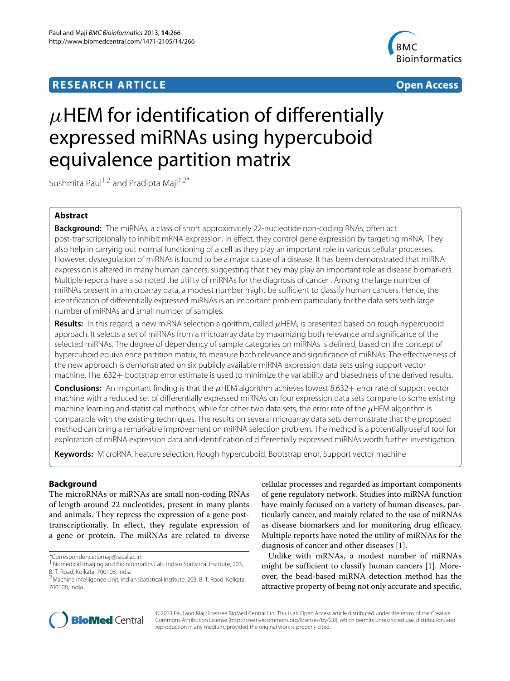# **RESEARCH ARTICLE Open Access**



# $\mu$ HEM for identification of differentially expressed miRNAs using hypercuboid equivalence partition matrix

Sushmita Paul<sup>1,2</sup> and Pradipta Maji<sup>1,2\*</sup>

# **Abstract**

**Background:** The miRNAs, a class of short approximately 22-nucleotide non-coding RNAs, often act post-transcriptionally to inhibit mRNA expression. In effect, they control gene expression by targeting mRNA. They also help in carrying out normal functioning of a cell as they play an important role in various cellular processes. However, dysregulation of miRNAs is found to be a major cause of a disease. It has been demonstrated that miRNA expression is altered in many human cancers, suggesting that they may play an important role as disease biomarkers. Multiple reports have also noted the utility of miRNAs for the diagnosis of cancer . Among the large number of miRNAs present in a microarray data, a modest number might be sufficient to classify human cancers. Hence, the identification of differentially expressed miRNAs is an important problem particularly for the data sets with large number of miRNAs and small number of samples.

**Results:** In this regard, a new miRNA selection algorithm, called μHEM, is presented based on rough hypercuboid approach. It selects a set of miRNAs from a microarray data by maximizing both relevance and significance of the selected miRNAs. The degree of dependency of sample categories on miRNAs is defined, based on the concept of hypercuboid equivalence partition matrix, to measure both relevance and significance of miRNAs. The effectiveness of the new approach is demonstrated on six publicly available miRNA expression data sets using support vector machine. The .632+ bootstrap error estimate is used to minimize the variability and biasedness of the derived results.

**Conclusions:** An important finding is that the  $\mu$ HEM algorithm achieves lowest  $B.632 +$  error rate of support vector machine with a reduced set of differentially expressed miRNAs on four expression data sets compare to some existing machine learning and statistical methods, while for other two data sets, the error rate of the  $\mu$ HEM algorithm is comparable with the existing techniques. The results on several microarray data sets demonstrate that the proposed method can bring a remarkable improvement on miRNA selection problem. The method is a potentially useful tool for exploration of miRNA expression data and identification of differentially expressed miRNAs worth further investigation.

**Keywords:** MicroRNA, Feature selection, Rough hypercuboid, Bootstrap error, Support vector machine

# **Background**

The microRNAs or miRNAs are small non-coding RNAs of length around 22 nucleotides, present in many plants and animals. They repress the expression of a gene posttranscriptionally. In effect, they regulate expression of a gene or protein. The miRNAs are related to diverse

\*Correspondence: pmaji@isical.ac.in

cellular processes and regarded as important components of gene regulatory network. Studies into miRNA function have mainly focused on a variety of human diseases, particularly cancer, and mainly related to the use of miRNAs as disease biomarkers and for monitoring drug efficacy. Multiple reports have noted the utility of miRNAs for the diagnosis of cancer and other diseases [\[1\]](#page-15-0).

Unlike with mRNAs, a modest number of miRNAs might be sufficient to classify human cancers [\[1\]](#page-15-0). Moreover, the bead-based miRNA detection method has the attractive property of being not only accurate and specific,



© 2013 Paul and Maji; licensee BioMed Central Ltd. This is an Open Access article distributed under the terms of the Creative Commons Attribution License (http://creativecommons.org/licenses/by/2.0), which permits unrestricted use, distribution, and reproduction in any medium, provided the original work is properly cited.

<sup>1</sup>Biomedical Imaging and Bioinformatics Lab, Indian Statistical Institute, 203, B. T. Road, Kolkata, 700108, India

<sup>2</sup>Machine Intelligence Unit, Indian Statistical Institute, 203, B. T. Road, Kolkata, 700108, India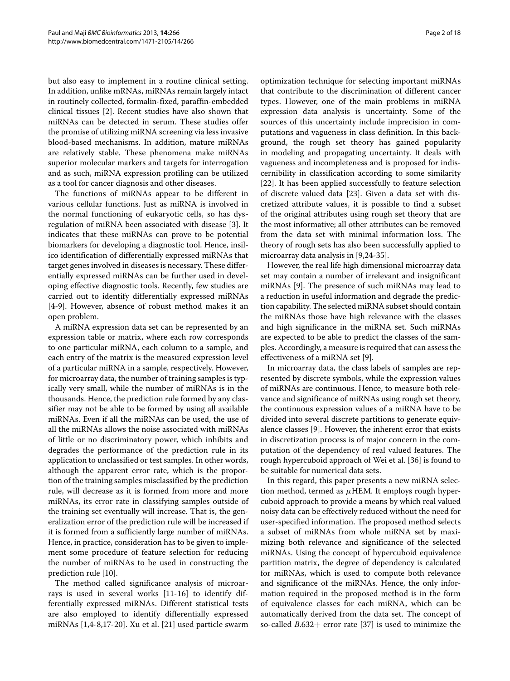but also easy to implement in a routine clinical setting. In addition, unlike mRNAs, miRNAs remain largely intact in routinely collected, formalin-fixed, paraffin-embedded clinical tissues [\[2\]](#page-15-1). Recent studies have also shown that miRNAs can be detected in serum. These studies offer the promise of utilizing miRNA screening via less invasive blood-based mechanisms. In addition, mature miRNAs are relatively stable. These phenomena make miRNAs superior molecular markers and targets for interrogation and as such, miRNA expression profiling can be utilized as a tool for cancer diagnosis and other diseases.

The functions of miRNAs appear to be different in various cellular functions. Just as miRNA is involved in the normal functioning of eukaryotic cells, so has dysregulation of miRNA been associated with disease [\[3\]](#page-15-2). It indicates that these miRNAs can prove to be potential biomarkers for developing a diagnostic tool. Hence, insilico identification of differentially expressed miRNAs that target genes involved in diseases is necessary. These differentially expressed miRNAs can be further used in developing effective diagnostic tools. Recently, few studies are carried out to identify differentially expressed miRNAs [\[4](#page-15-3)[-9\]](#page-15-4). However, absence of robust method makes it an open problem.

A miRNA expression data set can be represented by an expression table or matrix, where each row corresponds to one particular miRNA, each column to a sample, and each entry of the matrix is the measured expression level of a particular miRNA in a sample, respectively. However, for microarray data, the number of training samples is typically very small, while the number of miRNAs is in the thousands. Hence, the prediction rule formed by any classifier may not be able to be formed by using all available miRNAs. Even if all the miRNAs can be used, the use of all the miRNAs allows the noise associated with miRNAs of little or no discriminatory power, which inhibits and degrades the performance of the prediction rule in its application to unclassified or test samples. In other words, although the apparent error rate, which is the proportion of the training samples misclassified by the prediction rule, will decrease as it is formed from more and more miRNAs, its error rate in classifying samples outside of the training set eventually will increase. That is, the generalization error of the prediction rule will be increased if it is formed from a sufficiently large number of miRNAs. Hence, in practice, consideration has to be given to implement some procedure of feature selection for reducing the number of miRNAs to be used in constructing the prediction rule [\[10\]](#page-15-5).

The method called significance analysis of microarrays is used in several works [\[11-](#page-15-6)[16\]](#page-15-7) to identify differentially expressed miRNAs. Different statistical tests are also employed to identify differentially expressed miRNAs [\[1](#page-15-0)[,4](#page-15-3)[-8,](#page-15-8)[17](#page-16-0)[-20\]](#page-16-1). Xu et al. [\[21\]](#page-16-2) used particle swarm optimization technique for selecting important miRNAs that contribute to the discrimination of different cancer types. However, one of the main problems in miRNA expression data analysis is uncertainty. Some of the sources of this uncertainty include imprecision in computations and vagueness in class definition. In this background, the rough set theory has gained popularity in modeling and propagating uncertainty. It deals with vagueness and incompleteness and is proposed for indiscernibility in classification according to some similarity [\[22\]](#page-16-3). It has been applied successfully to feature selection of discrete valued data [\[23\]](#page-16-4). Given a data set with discretized attribute values, it is possible to find a subset of the original attributes using rough set theory that are the most informative; all other attributes can be removed from the data set with minimal information loss. The theory of rough sets has also been successfully applied to microarray data analysis in [\[9](#page-15-4)[,24-](#page-16-5)[35\]](#page-16-6).

However, the real life high dimensional microarray data set may contain a number of irrelevant and insignificant miRNAs [\[9\]](#page-15-4). The presence of such miRNAs may lead to a reduction in useful information and degrade the prediction capability. The selected miRNA subset should contain the miRNAs those have high relevance with the classes and high significance in the miRNA set. Such miRNAs are expected to be able to predict the classes of the samples. Accordingly, a measure is required that can assess the effectiveness of a miRNA set [\[9\]](#page-15-4).

In microarray data, the class labels of samples are represented by discrete symbols, while the expression values of miRNAs are continuous. Hence, to measure both relevance and significance of miRNAs using rough set theory, the continuous expression values of a miRNA have to be divided into several discrete partitions to generate equivalence classes [\[9\]](#page-15-4). However, the inherent error that exists in discretization process is of major concern in the computation of the dependency of real valued features. The rough hypercuboid approach of Wei et al. [\[36\]](#page-16-7) is found to be suitable for numerical data sets.

In this regard, this paper presents a new miRNA selection method, termed as  $\mu$ HEM. It employs rough hypercuboid approach to provide a means by which real valued noisy data can be effectively reduced without the need for user-specified information. The proposed method selects a subset of miRNAs from whole miRNA set by maximizing both relevance and significance of the selected miRNAs. Using the concept of hypercuboid equivalence partition matrix, the degree of dependency is calculated for miRNAs, which is used to compute both relevance and significance of the miRNAs. Hence, the only information required in the proposed method is in the form of equivalence classes for each miRNA, which can be automatically derived from the data set. The concept of so-called B.632+ error rate [\[37\]](#page-16-8) is used to minimize the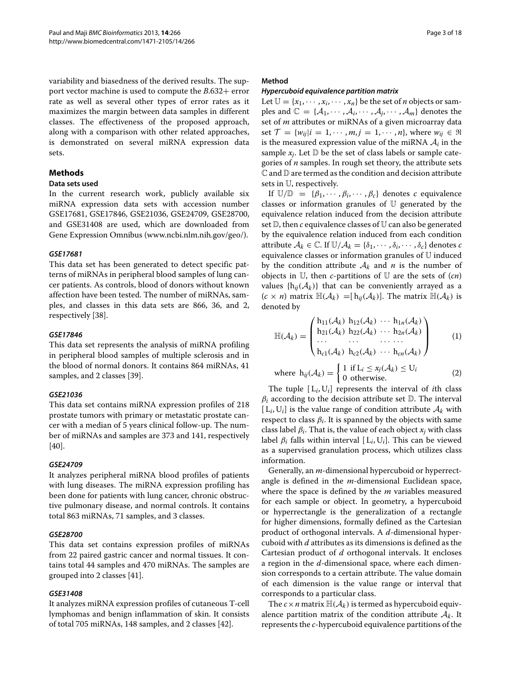variability and biasedness of the derived results. The support vector machine is used to compute the B.632+ error rate as well as several other types of error rates as it maximizes the margin between data samples in different classes. The effectiveness of the proposed approach, along with a comparison with other related approaches, is demonstrated on several miRNA expression data sets.

# **Methods**

#### **Data sets used**

In the current research work, publicly available six miRNA expression data sets with accession number GSE17681, GSE17846, GSE21036, GSE24709, GSE28700, and GSE31408 are used, which are downloaded from Gene Expression Omnibus [\(www.ncbi.nlm.nih.gov/geo/\)](www.ncbi.nlm.nih.gov/geo/).

#### *GSE17681*

This data set has been generated to detect specific patterns of miRNAs in peripheral blood samples of lung cancer patients. As controls, blood of donors without known affection have been tested. The number of miRNAs, samples, and classes in this data sets are 866, 36, and 2, respectively [\[38\]](#page-16-9).

#### *GSE17846*

This data set represents the analysis of miRNA profiling in peripheral blood samples of multiple sclerosis and in the blood of normal donors. It contains 864 miRNAs, 41 samples, and 2 classes [\[39\]](#page-16-10).

# *GSE21036*

This data set contains miRNA expression profiles of 218 prostate tumors with primary or metastatic prostate cancer with a median of 5 years clinical follow-up. The number of miRNAs and samples are 373 and 141, respectively [\[40\]](#page-16-11).

#### *GSE24709*

It analyzes peripheral miRNA blood profiles of patients with lung diseases. The miRNA expression profiling has been done for patients with lung cancer, chronic obstructive pulmonary disease, and normal controls. It contains total 863 miRNAs, 71 samples, and 3 classes.

# *GSE28700*

This data set contains expression profiles of miRNAs from 22 paired gastric cancer and normal tissues. It contains total 44 samples and 470 miRNAs. The samples are grouped into 2 classes [\[41\]](#page-16-12).

# *GSE31408*

It analyzes miRNA expression profiles of cutaneous T-cell lymphomas and benign inflammation of skin. It consists of total 705 miRNAs, 148 samples, and 2 classes [\[42\]](#page-16-13).

# **Method**

#### *Hypercuboid equivalence partition matrix*

Let  $\mathbb{U} = \{x_1, \cdots, x_i, \cdots, x_n\}$  be the set of *n* objects or samples and  $\mathbb{C} = {\mathcal{A}_1, \cdots, \mathcal{A}_i, \cdots, \mathcal{A}_j, \cdots, \mathcal{A}_m}$  denotes the set of *m* attributes or miRNAs of a given microarray data set  $\mathcal{T} = \{w_{ij} | i = 1, \cdots, m, j = 1, \cdots, n\}$ , where  $w_{ij} \in \mathbb{R}$ is the measured expression value of the miRNA  $\mathcal{A}_i$  in the sample  $x_j$ . Let  $\mathbb D$  be the set of class labels or sample categories of  $n$  samples. In rough set theory, the attribute sets  $\mathbb C$  and  $\mathbb D$  are termed as the condition and decision attribute sets in U, respectively.

If  $\mathbb{U}/\mathbb{D} = {\beta_1, \cdots, \beta_i, \cdots, \beta_c}$  denotes c equivalence classes or information granules of  $U$  generated by the equivalence relation induced from the decision attribute set  $\mathbb D$ , then c equivalence classes of U can also be generated by the equivalence relation induced from each condition attribute  $A_k \in \mathbb{C}$ . If  $\mathbb{U}/A_k = \{\delta_1, \cdots, \delta_i, \cdots, \delta_c\}$  denotes  $c$ equivalence classes or information granules of U induced by the condition attribute  $A_k$  and *n* is the number of objects in  $\mathbb U$ , then *c*-partitions of  $\mathbb U$  are the sets of  $(cn)$ values  $\{h_{ii}(\mathcal{A}_k)\}\$  that can be conveniently arrayed as a  $(c \times n)$  matrix  $\mathbb{H}(\mathcal{A}_k) = [h_{ii}(\mathcal{A}_k)]$ . The matrix  $\mathbb{H}(\mathcal{A}_k)$  is denoted by

<span id="page-2-0"></span>
$$
\mathbb{H}(\mathcal{A}_k) = \begin{pmatrix} h_{11}(\mathcal{A}_k) & h_{12}(\mathcal{A}_k) & \cdots & h_{1n}(\mathcal{A}_k) \\ h_{21}(\mathcal{A}_k) & h_{22}(\mathcal{A}_k) & \cdots & h_{2n}(\mathcal{A}_k) \\ \cdots & \cdots & \cdots & \cdots \\ h_{c1}(\mathcal{A}_k) & h_{c2}(\mathcal{A}_k) & \cdots & h_{cn}(\mathcal{A}_k) \end{pmatrix}
$$
 (1)

where 
$$
h_{ij}(\mathcal{A}_k) = \begin{cases} 1 & \text{if } L_i \leq x_j(\mathcal{A}_k) \leq U_i \\ 0 & \text{otherwise.} \end{cases}
$$
 (2)

The tuple  $[L_i, U_i]$  represents the interval of *i*th class  $\beta_i$  according to the decision attribute set  $\mathbb D$ . The interval [ $L_i$ ,  $U_i$ ] is the value range of condition attribute  $A_k$  with respect to class  $\beta_i.$  It is spanned by the objects with same class label  $\beta_i.$  That is, the value of each object  $x_j$  with class label  $\beta_i$  falls within interval [  $\mathrm{L}_i, \mathrm{U}_i$ ]. This can be viewed as a supervised granulation process, which utilizes class information.

Generally, an m-dimensional hypercuboid or hyperrectangle is defined in the m-dimensional Euclidean space, where the space is defined by the  $m$  variables measured for each sample or object. In geometry, a hypercuboid or hyperrectangle is the generalization of a rectangle for higher dimensions, formally defined as the Cartesian product of orthogonal intervals. A d-dimensional hypercuboid with d attributes as its dimensions is defined as the Cartesian product of d orthogonal intervals. It encloses a region in the  $d$ -dimensional space, where each dimension corresponds to a certain attribute. The value domain of each dimension is the value range or interval that corresponds to a particular class.

The  $c \times n$  matrix  $\mathbb{H}(\mathcal{A}_k)$  is termed as hypercuboid equivalence partition matrix of the condition attribute  $A_k$ . It represents the c-hypercuboid equivalence partitions of the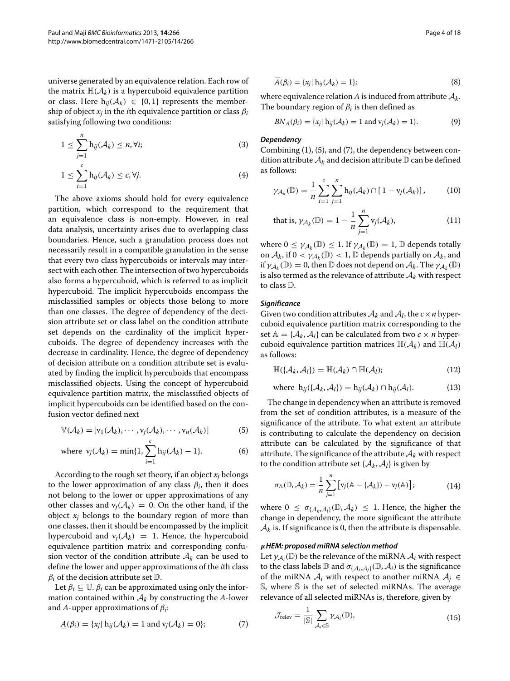universe generated by an equivalence relation. Each row of the matrix  $\mathbb{H}(\mathcal{A}_k)$  is a hypercuboid equivalence partition or class. Here  $h_{ii}(\mathcal{A}_k) \in \{0,1\}$  represents the membership of object  $x_j$  in the *i*th equivalence partition or class  $\beta_i$ satisfying following two conditions:

$$
1 \leq \sum_{j=1}^{n} h_{ij}(\mathcal{A}_k) \leq n, \forall i;
$$
\n
$$
1 \leq \sum_{i=1}^{c} h_{ij}(\mathcal{A}_k) \leq c, \forall j.
$$
\n
$$
(3)
$$
\n
$$
(4)
$$

The above axioms should hold for every equivalence partition, which correspond to the requirement that an equivalence class is non-empty. However, in real data analysis, uncertainty arises due to overlapping class boundaries. Hence, such a granulation process does not necessarily result in a compatible granulation in the sense that every two class hypercuboids or intervals may intersect with each other. The intersection of two hypercuboids also forms a hypercuboid, which is referred to as implicit hypercuboid. The implicit hypercuboids encompass the misclassified samples or objects those belong to more than one classes. The degree of dependency of the decision attribute set or class label on the condition attribute set depends on the cardinality of the implicit hypercuboids. The degree of dependency increases with the decrease in cardinality. Hence, the degree of dependency of decision attribute on a condition attribute set is evaluated by finding the implicit hypercuboids that encompass misclassified objects. Using the concept of hypercuboid equivalence partition matrix, the misclassified objects of implicit hypercuboids can be identified based on the confusion vector defined next

$$
\mathbb{V}(\mathcal{A}_k) = [\mathbf{v}_1(\mathcal{A}_k), \cdots, \mathbf{v}_j(\mathcal{A}_k), \cdots, \mathbf{v}_n(\mathcal{A}_k)]
$$
 (5)

where 
$$
v_j(\mathcal{A}_k) = \min\{1, \sum_{i=1}^{c} h_{ij}(\mathcal{A}_k) - 1\}.
$$
 (6)

According to the rough set theory, if an object  $x_i$  belongs to the lower approximation of any class  $\beta_i$ , then it does not belong to the lower or upper approximations of any other classes and  $v_i(A_k) = 0$ . On the other hand, if the object  $x_j$  belongs to the boundary region of more than one classes, then it should be encompassed by the implicit hypercuboid and  $v_j(A_k) = 1$ . Hence, the hypercuboid equivalence partition matrix and corresponding confusion vector of the condition attribute  $A_k$  can be used to define the lower and upper approximations of the ith class  $\beta_i$  of the decision attribute set  $\mathbb{D}$ .

Let  $\beta_i \subseteq \mathbb{U}$ .  $\beta_i$  can be approximated using only the information contained within  $A_k$  by constructing the A-lower and A-upper approximations of  $\beta_i$ :

$$
\underline{A}(\beta_i) = \{x_j | h_{ij}(\mathcal{A}_k) = 1 \text{ and } v_j(\mathcal{A}_k) = 0\};
$$
\n(7)

$$
\overline{A}(\beta_i) = \{x_j | h_{ij}(\mathcal{A}_k) = 1\};\tag{8}
$$

where equivalence relation A is induced from attribute  $A_k$ . The boundary region of  $\beta_i$  is then defined as

$$
BN_A(\beta_i) = \{x_j \mid h_{ij}(\mathcal{A}_k) = 1 \text{ and } v_j(\mathcal{A}_k) = 1\}.
$$
 (9)

#### *Dependency*

Combining [\(1\)](#page-2-0), [\(5\)](#page-3-0), and [\(7\)](#page-3-1), the dependency between condition attribute  $A_k$  and decision attribute  $\mathbb D$  can be defined as follows:

$$
\gamma_{\mathcal{A}_k}(\mathbb{D}) = \frac{1}{n} \sum_{i=1}^c \sum_{j=1}^n h_{ij}(\mathcal{A}_k) \cap [1 - v_j(\mathcal{A}_k)], \qquad (10)
$$

<span id="page-3-2"></span>that is, 
$$
\gamma_{A_k}(\mathbb{D}) = 1 - \frac{1}{n} \sum_{j=1}^n v_j(\mathcal{A}_k)
$$
, (11)

where  $0 \leq \gamma_{\mathcal{A}_k}(\mathbb{D}) \leq 1$ . If  $\gamma_{\mathcal{A}_k}(\mathbb{D}) = 1$ ,  $\mathbb D$  depends totally on  $\mathcal{A}_k$ , if  $0 < \gamma_{\mathcal{A}_k}(\mathbb{D}) < 1$ ,  $\mathbb D$  depends partially on  $\mathcal{A}_k$ , and if  $\gamma_{\mathcal{A}_k}(\mathbb{D}) = 0$ , then  $\mathbb D$  does not depend on  $\mathcal{A}_k$ . The  $\gamma_{\mathcal{A}_k}(\mathbb{D})$ is also termed as the relevance of attribute  $A_k$  with respect to class D.

#### *Significance*

Given two condition attributes  $\mathcal{A}_k$  and  $\mathcal{A}_l$ , the  $c \times n$  hypercuboid equivalence partition matrix corresponding to the set  $A = \{A_k, A_l\}$  can be calculated from two  $c \times n$  hypercuboid equivalence partition matrices  $\mathbb{H}(\mathcal{A}_k)$  and  $\mathbb{H}(\mathcal{A}_l)$ as follows:

<span id="page-3-3"></span>
$$
\mathbb{H}(\{\mathcal{A}_k,\mathcal{A}_l\})=\mathbb{H}(\mathcal{A}_k)\cap\mathbb{H}(\mathcal{A}_l); \qquad (12)
$$

where 
$$
h_{ij}(\{\mathcal{A}_k, \mathcal{A}_l\}) = h_{ij}(\mathcal{A}_k) \cap h_{ij}(\mathcal{A}_l).
$$
 (13)

<span id="page-3-0"></span>The change in dependency when an attribute is removed from the set of condition attributes, is a measure of the significance of the attribute. To what extent an attribute is contributing to calculate the dependency on decision attribute can be calculated by the significance of that attribute. The significance of the attribute  $A_k$  with respect to the condition attribute set  $\{A_k, A_l\}$  is given by

<span id="page-3-4"></span>
$$
\sigma_{\mathbb{A}}(\mathbb{D}, \mathcal{A}_k) = \frac{1}{n} \sum_{j=1}^n \left[ v_j(\mathbb{A} - \{\mathcal{A}_k\}) - v_j(\mathbb{A}) \right];\tag{14}
$$

where  $0 \leq \sigma_{\{A_k, A_l\}}(\mathbb{D}, A_k) \leq 1$ . Hence, the higher the change in dependency, the more significant the attribute  $\mathcal{A}_k$  is. If significance is 0, then the attribute is dispensable.

#### µ*HEM: proposed miRNA selection method*

<span id="page-3-1"></span>Let  $\gamma_{\mathcal{A}_{i}}(\mathbb{D})$  be the relevance of the miRNA  $\mathcal{A}_{i}$  with respect to the class labels  $\mathbb D$  and  $\sigma_{\{\mathcal A_i, \mathcal A_j\}}(\mathbb D, \mathcal A_i)$  is the significance of the miRNA  $A_i$  with respect to another miRNA  $A_i \in$ S, where S is the set of selected miRNAs. The average relevance of all selected miRNAs is, therefore, given by

$$
\mathcal{J}_{\text{relev}} = \frac{1}{|\mathbb{S}|} \sum_{\mathcal{A}_i \in \mathbb{S}} \gamma_{\mathcal{A}_i}(\mathbb{D}),\tag{15}
$$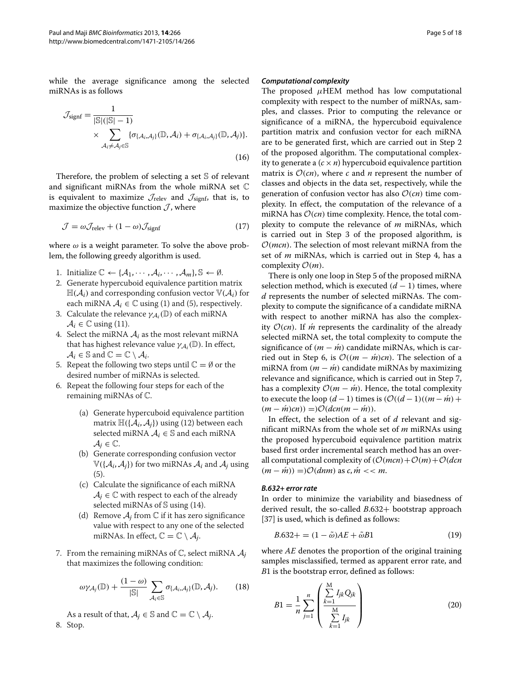while the average significance among the selected miRNAs is as follows

$$
\mathcal{J}_{\text{signf}} = \frac{1}{|\mathbb{S}|(|\mathbb{S}|-1)} \times \sum_{\mathcal{A}_i \neq \mathcal{A}_j \in \mathbb{S}} \{ \sigma_{(\mathcal{A}_i, \mathcal{A}_j)}(\mathbb{D}, \mathcal{A}_i) + \sigma_{(\mathcal{A}_i, \mathcal{A}_j)}(\mathbb{D}, \mathcal{A}_j) \}.
$$
\n(16)

Therefore, the problem of selecting a set S of relevant and significant miRNAs from the whole miRNA set C is equivalent to maximize  $\mathcal{J}_{\text{relevant}}$  and  $\mathcal{J}_{\text{signf}}$ , that is, to maximize the objective function  $J$ , where

$$
\mathcal{J} = \omega \mathcal{J}_{\text{relev}} + (1 - \omega) \mathcal{J}_{\text{signf}}
$$
 (17)

where  $\omega$  is a weight parameter. To solve the above problem, the following greedy algorithm is used.

- 1. Initialize  $\mathbb{C} \leftarrow \{ \mathcal{A}_1, \cdots, \mathcal{A}_i, \cdots, \mathcal{A}_m \}, \mathbb{S} \leftarrow \emptyset$ .
- 2. Generate hypercuboid equivalence partition matrix  $\mathbb{H}(\mathcal{A}_i)$  and corresponding confusion vector  $\mathbb{V}(\mathcal{A}_i)$  for each miRNA  $A_i \in \mathbb{C}$  using [\(1\)](#page-2-0) and [\(5\)](#page-3-0), respectively.
- 3. Calculate the relevance  $\gamma_{\mathcal{A}_i}(\mathbb{D})$  of each miRNA  $A_i \in \mathbb{C}$  using [\(11\)](#page-3-2).
- 4. Select the miRNA  $A_i$  as the most relevant miRNA that has highest relevance value  $\gamma_{\mathcal{A}_i}(\mathbb{D})$ . In effect,  $A_i \in \mathbb{S}$  and  $\mathbb{C} = \mathbb{C} \setminus A_i$ .
- 5. Repeat the following two steps until  $\mathbb{C} = \emptyset$  or the desired number of miRNAs is selected.
- 6. Repeat the following four steps for each of the remaining miRNAs of C.
	- (a) Generate hypercuboid equivalence partition matrix  $\mathbb{H}(\{\mathcal{A}_{i}, \mathcal{A}_{j}\})$  using [\(12\)](#page-3-3) between each selected miRNA  $A_i \in \mathbb{S}$  and each miRNA  $\mathcal{A}_i \in \mathbb{C}$ .
	- (b) Generate corresponding confusion vector  $\mathbb{V}(\{\mathcal{A}_{i}, \mathcal{A}_{j}\})$  for two miRNAs  $\mathcal{A}_{i}$  and  $\mathcal{A}_{j}$  using [\(5\)](#page-3-0).
	- (c) Calculate the significance of each miRNA  $A_i \in \mathbb{C}$  with respect to each of the already selected miRNAs of S using [\(14\)](#page-3-4).
	- (d) Remove  $A_j$  from  $\mathbb C$  if it has zero significance value with respect to any one of the selected miRNAs. In effect,  $\mathbb{C} = \mathbb{C} \setminus \mathcal{A}_j$ .
- 7. From the remaining miRNAs of  $\mathbb{C}$ , select miRNA  $\mathcal{A}_i$ that maximizes the following condition:

$$
\omega \gamma_{\mathcal{A}_j}(\mathbb{D}) + \frac{(1-\omega)}{|\mathbb{S}|} \sum_{\mathcal{A}_i \in \mathbb{S}} \sigma_{\{\mathcal{A}_i, \mathcal{A}_j\}}(\mathbb{D}, \mathcal{A}_j). \tag{18}
$$

As a result of that,  $\mathcal{A}_j \in \mathbb{S}$  and  $\mathbb{C} = \mathbb{C} \setminus \mathcal{A}_j$ . 8. Stop.

# *Computational complexity*

The proposed  $\mu$ HEM method has low computational complexity with respect to the number of miRNAs, samples, and classes. Prior to computing the relevance or significance of a miRNA, the hypercuboid equivalence partition matrix and confusion vector for each miRNA are to be generated first, which are carried out in Step 2 of the proposed algorithm. The computational complexity to generate a  $(c \times n)$  hypercuboid equivalence partition matrix is  $O(cn)$ , where c and n represent the number of classes and objects in the data set, respectively, while the generation of confusion vector has also  $\mathcal{O}(cn)$  time complexity. In effect, the computation of the relevance of a miRNA has  $\mathcal{O}(cn)$  time complexity. Hence, the total complexity to compute the relevance of  $m$  miRNAs, which is carried out in Step 3 of the proposed algorithm, is  $O(mcn)$ . The selection of most relevant miRNA from the set of *m* miRNAs, which is carried out in Step 4, has a complexity  $\mathcal{O}(m)$ .

There is only one loop in Step 5 of the proposed miRNA selection method, which is executed  $(d - 1)$  times, where d represents the number of selected miRNAs. The complexity to compute the significance of a candidate miRNA with respect to another miRNA has also the complexity  $O(cn)$ . If *m*<sup>r</sup> represents the cardinality of the already selected miRNA set, the total complexity to compute the significance of  $(m - m)$  candidate miRNAs, which is carried out in Step 6, is  $\mathcal{O}((m - m)cn)$ . The selection of a miRNA from  $(m - m)$  candidate miRNAs by maximizing relevance and significance, which is carried out in Step 7, has a complexity  $O(m - m)$ . Hence, the total complexity to execute the loop  $(d-1)$  times is  $(\mathcal{O}((d-1)((m-m))$ +  $(m - \hat{m})cn)) = O(dcn(m - \hat{m})).$ 

In effect, the selection of a set of  $d$  relevant and significant miRNAs from the whole set of  $m$  miRNAs using the proposed hypercuboid equivalence partition matrix based first order incremental search method has an overall computational complexity of  $(\mathcal{O}(mcn)+\mathcal{O}(m)+\mathcal{O}(dcn))$  $(m - \hat{m}) = O(dnm)$  as c,  $\hat{m} \ll m$ .

# *B.632+ error rate*

In order to minimize the variability and biasedness of derived result, the so-called B.632+ bootstrap approach [\[37\]](#page-16-8) is used, which is defined as follows:

<span id="page-4-0"></span>
$$
B.632+ = (1 - \tilde{\omega})AE + \tilde{\omega}B1
$$
\n(19)

<span id="page-4-1"></span>where  $AE$  denotes the proportion of the original training samples misclassified, termed as apparent error rate, and B1 is the bootstrap error, defined as follows:

$$
B1 = \frac{1}{n} \sum_{j=1}^{n} \left( \frac{\sum_{k=1}^{M} I_{jk} Q_{jk}}{\sum_{k=1}^{M} I_{jk}} \right)
$$
(20)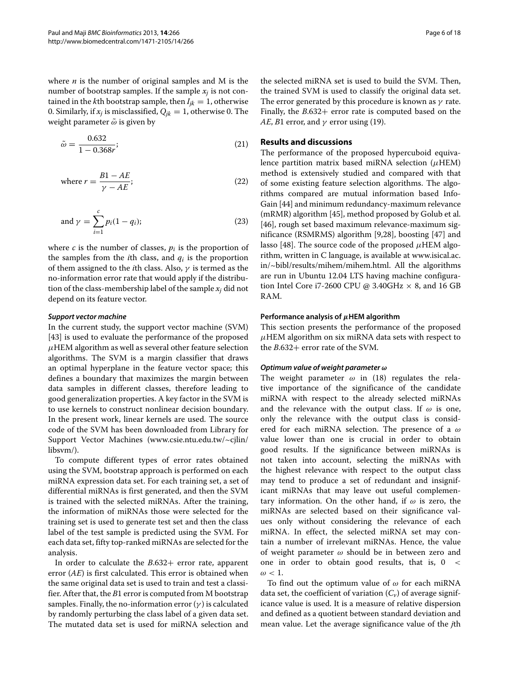where  $n$  is the number of original samples and M is the number of bootstrap samples. If the sample  $x_j$  is not contained in the kth bootstrap sample, then  $I_{ik} = 1$ , otherwise 0. Similarly, if  $x_j$  is misclassified,  $Q_{jk} = 1$ , otherwise 0. The weight parameter  $\tilde{\omega}$  is given by

$$
\tilde{\omega} = \frac{0.632}{1 - 0.368r};\tag{21}
$$

where 
$$
r = \frac{B1 - AE}{\gamma - AE}
$$
; (22)

$$
and \gamma = \sum_{i=1}^{c} p_i (1 - q_i); \qquad (23)
$$

where  $c$  is the number of classes,  $p_i$  is the proportion of the samples from the *i*th class, and  $q_i$  is the proportion of them assigned to the *i*th class. Also,  $\gamma$  is termed as the no-information error rate that would apply if the distribution of the class-membership label of the sample  $x_i$  did not depend on its feature vector.

#### *Support vector machine*

In the current study, the support vector machine (SVM) [\[43\]](#page-16-14) is used to evaluate the performance of the proposed  $\mu$ HEM algorithm as well as several other feature selection algorithms. The SVM is a margin classifier that draws an optimal hyperplane in the feature vector space; this defines a boundary that maximizes the margin between data samples in different classes, therefore leading to good generalization properties. A key factor in the SVM is to use kernels to construct nonlinear decision boundary. In the present work, linear kernels are used. The source code of the SVM has been downloaded from Library for Support Vector Machines [\(www.csie.ntu.edu.tw/~cjlin/](www.csie.ntu.edu.tw/~cjlin/libsvm/) [libsvm/\)](www.csie.ntu.edu.tw/~cjlin/libsvm/).

To compute different types of error rates obtained using the SVM, bootstrap approach is performed on each miRNA expression data set. For each training set, a set of differential miRNAs is first generated, and then the SVM is trained with the selected miRNAs. After the training, the information of miRNAs those were selected for the training set is used to generate test set and then the class label of the test sample is predicted using the SVM. For each data set, fifty top-ranked miRNAs are selected for the analysis.

In order to calculate the  $B.632+$  error rate, apparent error (AE) is first calculated. This error is obtained when the same original data set is used to train and test a classifier. After that, the B1 error is computed from M bootstrap samples. Finally, the no-information error  $(\gamma)$  is calculated by randomly perturbing the class label of a given data set. The mutated data set is used for miRNA selection and

the selected miRNA set is used to build the SVM. Then, the trained SVM is used to classify the original data set. The error generated by this procedure is known as  $\gamma$  rate. Finally, the  $B.632+$  error rate is computed based on the *AE*, *B*1 error, and  $\gamma$  error using [\(19\)](#page-4-0).

#### **Results and discussions**

The performance of the proposed hypercuboid equivalence partition matrix based miRNA selection  $(\mu$ HEM) method is extensively studied and compared with that of some existing feature selection algorithms. The algorithms compared are mutual information based Info-Gain [\[44\]](#page-16-15) and minimum redundancy-maximum relevance (mRMR) algorithm [\[45\]](#page-16-16), method proposed by Golub et al. [\[46\]](#page-16-17), rough set based maximum relevance-maximum significance (RSMRMS) algorithm [\[9](#page-15-4)[,28\]](#page-16-18), boosting [\[47\]](#page-16-19) and lasso [\[48\]](#page-16-20). The source code of the proposed  $\mu$ HEM algorithm, written in C language, is available at [www.isical.ac.](www.isical.ac.in/~bibl/results/mihem/mihem.html) [in/~bibl/results/mihem/mihem.html.](www.isical.ac.in/~bibl/results/mihem/mihem.html) All the algorithms are run in Ubuntu 12.04 LTS having machine configuration Intel Core i7-2600 CPU @ 3.40GHz  $\times$  8, and 16 GB RAM.

#### **Performance analysis of** µ**HEM algorithm**

This section presents the performance of the proposed  $\mu$ HEM algorithm on six miRNA data sets with respect to the B.632+ error rate of the SVM.

# *Optimum value of weight parameter* ω

The weight parameter  $\omega$  in [\(18\)](#page-4-1) regulates the relative importance of the significance of the candidate miRNA with respect to the already selected miRNAs and the relevance with the output class. If  $\omega$  is one, only the relevance with the output class is considered for each miRNA selection. The presence of a  $\omega$ value lower than one is crucial in order to obtain good results. If the significance between miRNAs is not taken into account, selecting the miRNAs with the highest relevance with respect to the output class may tend to produce a set of redundant and insignificant miRNAs that may leave out useful complementary information. On the other hand, if  $\omega$  is zero, the miRNAs are selected based on their significance values only without considering the relevance of each miRNA. In effect, the selected miRNA set may contain a number of irrelevant miRNAs. Hence, the value of weight parameter  $\omega$  should be in between zero and one in order to obtain good results, that is, 0 <  $\omega$  < 1.

To find out the optimum value of  $\omega$  for each miRNA data set, the coefficient of variation  $(C_v)$  of average significance value is used. It is a measure of relative dispersion and defined as a quotient between standard deviation and mean value. Let the average significance value of the jth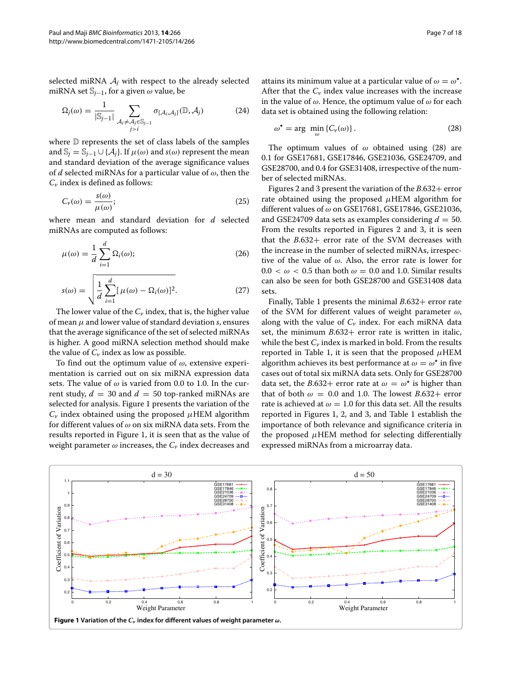selected miRNA  $A_j$  with respect to the already selected miRNA set  $\mathbb{S}_{i-1}$ , for a given  $\omega$  value, be

$$
\Omega_j(\omega) = \frac{1}{|\mathbb{S}_{j-1}|} \sum_{\substack{\mathcal{A}_i \neq \mathcal{A}_j \in \mathbb{S}_{j-1} \\ j > i}} \sigma_{\{\mathcal{A}_i, \mathcal{A}_j\}}(\mathbb{D}, \mathcal{A}_j)
$$
(24)

where D represents the set of class labels of the samples and  $\mathbb{S}_j = \mathbb{S}_{j-1} \cup \{ \mathcal{A}_j \}$ . If  $\mu(\omega)$  and  $s(\omega)$  represent the mean and standard deviation of the average significance values of d selected miRNAs for a particular value of  $\omega$ , then the  $C_v$  index is defined as follows:

$$
C_{\nu}(\omega) = \frac{s(\omega)}{\mu(\omega)};
$$
\n(25)

where mean and standard deviation for d selected miRNAs are computed as follows:

$$
\mu(\omega) = \frac{1}{d} \sum_{i=1}^{d} \Omega_i(\omega); \tag{26}
$$

$$
s(\omega) = \sqrt{\frac{1}{d} \sum_{i=1}^{d} [\mu(\omega) - \Omega_i(\omega)]^2}.
$$
 (27)

The lower value of the  $C_v$  index, that is, the higher value of mean  $\mu$  and lower value of standard deviation s, ensures that the average significance of the set of selected miRNAs is higher. A good miRNA selection method should make the value of  $C_v$  index as low as possible.

To find out the optimum value of  $\omega$ , extensive experimentation is carried out on six miRNA expression data sets. The value of  $\omega$  is varied from 0.0 to 1.0. In the current study,  $d = 30$  and  $d = 50$  top-ranked miRNAs are selected for analysis. Figure [1](#page-6-0) presents the variation of the  $C_v$  index obtained using the proposed  $\mu$ HEM algorithm for different values of  $\omega$  on six miRNA data sets. From the results reported in Figure [1,](#page-6-0) it is seen that as the value of weight parameter  $\omega$  increases, the  $C_{\nu}$  index decreases and

attains its minimum value at a particular value of  $\omega = \omega^{\star}$ . After that the  $C_v$  index value increases with the increase in the value of  $\omega$ . Hence, the optimum value of  $\omega$  for each data set is obtained using the following relation:

<span id="page-6-1"></span>
$$
\omega^* = \arg \min_{\omega} \{ C_{\nu}(\omega) \}.
$$
 (28)

The optimum values of  $\omega$  obtained using [\(28\)](#page-6-1) are 0.1 for GSE17681, GSE17846, GSE21036, GSE24709, and GSE28700, and 0.4 for GSE31408, irrespective of the number of selected miRNAs.

Figures [2](#page-7-0) and [3](#page-7-1) present the variation of the  $B.632 +$  error rate obtained using the proposed  $\mu$ HEM algorithm for different values of  $\omega$  on GSE17681, GSE17846, GSE21036, and GSE24709 data sets as examples considering  $d = 50$ . From the results reported in Figures [2](#page-7-0) and [3,](#page-7-1) it is seen that the  $B.632+$  error rate of the SVM decreases with the increase in the number of selected miRNAs, irrespective of the value of  $\omega$ . Also, the error rate is lower for  $0.0 < \omega < 0.5$  than both  $\omega = 0.0$  and 1.0. Similar results can also be seen for both GSE28700 and GSE31408 data sets.

Finally, Table [1](#page-8-0) presents the minimal  $B.632+$  error rate of the SVM for different values of weight parameter  $\omega$ , along with the value of  $C_v$  index. For each miRNA data set, the minimum  $B.632+$  error rate is written in italic, while the best  $C_v$  index is marked in bold. From the results reported in Table [1,](#page-8-0) it is seen that the proposed  $\mu$ HEM algorithm achieves its best performance at  $\omega = \omega^\star$  in five cases out of total six miRNA data sets. Only for GSE28700 data set, the B.632+ error rate at  $\omega = \omega^*$  is higher than that of both  $\omega = 0.0$  and 1.0. The lowest B.632+ error rate is achieved at  $\omega = 1.0$  for this data set. All the results reported in Figures [1,](#page-6-0) [2,](#page-7-0) and [3,](#page-7-1) and Table [1](#page-8-0) establish the importance of both relevance and significance criteria in the proposed  $\mu$ HEM method for selecting differentially expressed miRNAs from a microarray data.

<span id="page-6-0"></span>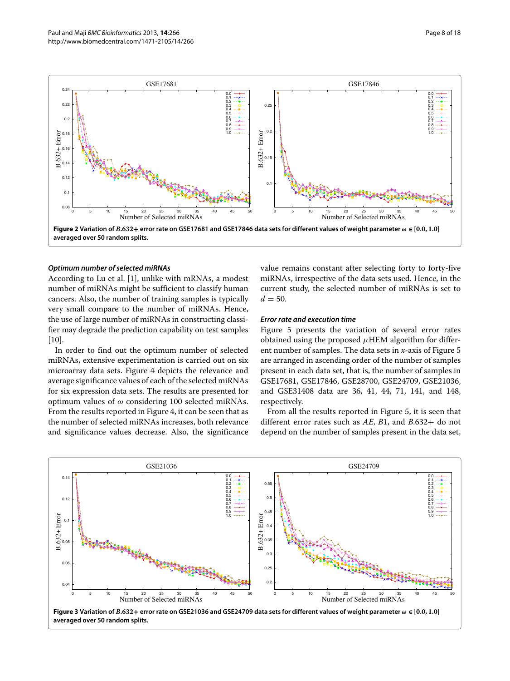

#### <span id="page-7-0"></span>*Optimum number of selected miRNAs*

According to Lu et al. [\[1\]](#page-15-0), unlike with mRNAs, a modest number of miRNAs might be sufficient to classify human cancers. Also, the number of training samples is typically very small compare to the number of miRNAs. Hence, the use of large number of miRNAs in constructing classifier may degrade the prediction capability on test samples  $[10]$ .

In order to find out the optimum number of selected miRNAs, extensive experimentation is carried out on six microarray data sets. Figure [4](#page-8-1) depicts the relevance and average significance values of each of the selected miRNAs for six expression data sets. The results are presented for optimum values of  $\omega$  considering 100 selected miRNAs. From the results reported in Figure [4,](#page-8-1) it can be seen that as the number of selected miRNAs increases, both relevance and significance values decrease. Also, the significance value remains constant after selecting forty to forty-five miRNAs, irrespective of the data sets used. Hence, in the current study, the selected number of miRNAs is set to  $d = 50$ .

#### *Error rate and execution time*

Figure [5](#page-9-0) presents the variation of several error rates obtained using the proposed  $\mu$ HEM algorithm for different number of samples. The data sets in  $x$ -axis of Figure [5](#page-9-0) are arranged in ascending order of the number of samples present in each data set, that is, the number of samples in GSE17681, GSE17846, GSE28700, GSE24709, GSE21036, and GSE31408 data are 36, 41, 44, 71, 141, and 148, respectively.

From all the results reported in Figure [5,](#page-9-0) it is seen that different error rates such as  $AE$ ,  $B1$ , and  $B.632+$  do not depend on the number of samples present in the data set,



<span id="page-7-1"></span>**averaged over 50 random splits.**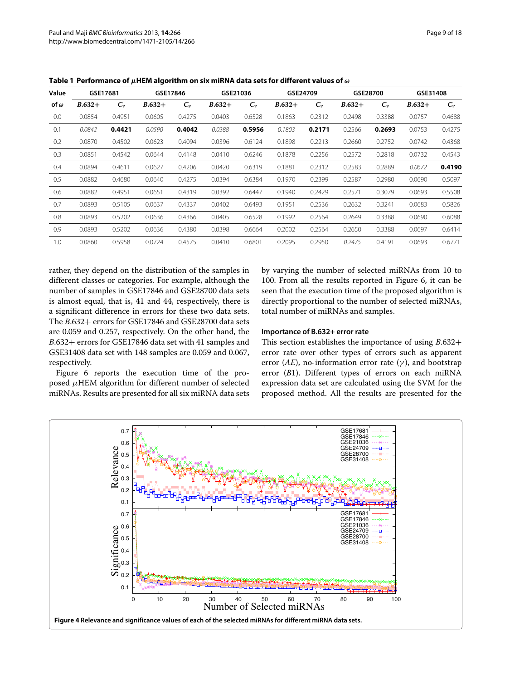<span id="page-8-0"></span>

| Value       | GSE17681 |           | GSE17846 |           | GSE21036 |           | GSE24709 |           | GSE28700 |           | GSE31408 |         |
|-------------|----------|-----------|----------|-----------|----------|-----------|----------|-----------|----------|-----------|----------|---------|
| of $\omega$ | $B.632+$ | $C_{\nu}$ | $B.632+$ | $C_{\nu}$ | $B.632+$ | $C_{\nu}$ | $B.632+$ | $C_{\nu}$ | $B.632+$ | $C_{\nu}$ | $B.632+$ | $C_{v}$ |
| 0.0         | 0.0854   | 0.4951    | 0.0605   | 0.4275    | 0.0403   | 0.6528    | 0.1863   | 0.2312    | 0.2498   | 0.3388    | 0.0757   | 0.4688  |
| 0.1         | 0.0842   | 0.4421    | 0.0590   | 0.4042    | 0.0388   | 0.5956    | 0.1803   | 0.2171    | 0.2566   | 0.2693    | 0.0753   | 0.4275  |
| 0.2         | 0.0870   | 0.4502    | 0.0623   | 0.4094    | 0.0396   | 0.6124    | 0.1898   | 0.2213    | 0.2660   | 0.2752    | 0.0742   | 0.4368  |
| 0.3         | 0.0851   | 0.4542    | 0.0644   | 0.4148    | 0.0410   | 0.6246    | 0.1878   | 0.2256    | 0.2572   | 0.2818    | 0.0732   | 0.4543  |
| 0.4         | 0.0894   | 0.4611    | 0.0627   | 0.4206    | 0.0420   | 0.6319    | 0.1881   | 0.2312    | 0.2583   | 0.2889    | 0.0672   | 0.4190  |
| 0.5         | 0.0882   | 0.4680    | 0.0640   | 0.4275    | 0.0394   | 0.6384    | 0.1970   | 0.2399    | 0.2587   | 0.2980    | 0.0690   | 0.5097  |
| 0.6         | 0.0882   | 0.4951    | 0.0651   | 0.4319    | 0.0392   | 0.6447    | 0.1940   | 0.2429    | 0.2571   | 0.3079    | 0.0693   | 0.5508  |
| 0.7         | 0.0893   | 0.5105    | 0.0637   | 0.4337    | 0.0402   | 0.6493    | 0.1951   | 0.2536    | 0.2632   | 0.3241    | 0.0683   | 0.5826  |
| 0.8         | 0.0893   | 0.5202    | 0.0636   | 0.4366    | 0.0405   | 0.6528    | 0.1992   | 0.2564    | 0.2649   | 0.3388    | 0.0690   | 0.6088  |
| 0.9         | 0.0893   | 0.5202    | 0.0636   | 0.4380    | 0.0398   | 0.6664    | 0.2002   | 0.2564    | 0.2650   | 0.3388    | 0.0697   | 0.6414  |
| 1.0         | 0.0860   | 0.5958    | 0.0724   | 0.4575    | 0.0410   | 0.6801    | 0.2095   | 0.2950    | 0.2475   | 0.4191    | 0.0693   | 0.6771  |

**Table 1 Performance of** µ**HEM algorithm on six miRNA data sets for different values of** ω

rather, they depend on the distribution of the samples in different classes or categories. For example, although the number of samples in GSE17846 and GSE28700 data sets is almost equal, that is, 41 and 44, respectively, there is a significant difference in errors for these two data sets. The B.632+ errors for GSE17846 and GSE28700 data sets are 0.059 and 0.257, respectively. On the other hand, the B.632+ errors for GSE17846 data set with 41 samples and GSE31408 data set with 148 samples are 0.059 and 0.067, respectively.

Figure [6](#page-9-1) reports the execution time of the proposed  $\mu$ HEM algorithm for different number of selected miRNAs. Results are presented for all six miRNA data sets by varying the number of selected miRNAs from 10 to 100. From all the results reported in Figure [6,](#page-9-1) it can be seen that the execution time of the proposed algorithm is directly proportional to the number of selected miRNAs, total number of miRNAs and samples.

#### **Importance of B.632+ error rate**

This section establishes the importance of using  $B.632+$ error rate over other types of errors such as apparent error (AE), no-information error rate ( $\gamma$ ), and bootstrap error (B1). Different types of errors on each miRNA expression data set are calculated using the SVM for the proposed method. All the results are presented for the

<span id="page-8-1"></span>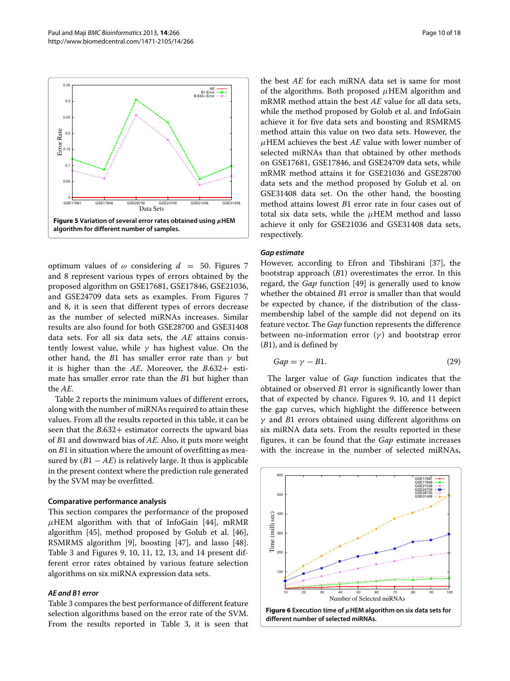

<span id="page-9-0"></span>optimum values of  $\omega$  considering  $d = 50$ . Figures [7](#page-10-0) and [8](#page-10-1) represent various types of errors obtained by the proposed algorithm on GSE17681, GSE17846, GSE21036, and GSE24709 data sets as examples. From Figures [7](#page-10-0) and [8,](#page-10-1) it is seen that different types of errors decrease as the number of selected miRNAs increases. Similar results are also found for both GSE28700 and GSE31408 data sets. For all six data sets, the  $AE$  attains consistently lowest value, while  $\gamma$  has highest value. On the other hand, the B1 has smaller error rate than  $\gamma$  but it is higher than the  $AE$ . Moreover, the  $B.632+$  estimate has smaller error rate than the B1 but higher than the AE.

Table [2](#page-10-2) reports the minimum values of different errors, along with the number of miRNAs required to attain these values. From all the results reported in this table, it can be seen that the  $B.632+$  estimator corrects the upward bias of B1 and downward bias of AE. Also, it puts more weight on B1 in situation where the amount of overfitting as measured by  $(B1 - AE)$  is relatively large. It thus is applicable in the present context where the prediction rule generated by the SVM may be overfitted.

#### **Comparative performance analysis**

This section compares the performance of the proposed  $\mu$ HEM algorithm with that of InfoGain [\[44\]](#page-16-15), mRMR algorithm [\[45\]](#page-16-16), method proposed by Golub et al. [\[46\]](#page-16-17), RSMRMS algorithm [\[9\]](#page-15-4), boosting [\[47\]](#page-16-19), and lasso [\[48\]](#page-16-20). Table [3](#page-11-0) and Figures [9,](#page-12-0) [10,](#page-12-1) [11,](#page-12-2) [12,](#page-13-0) [13,](#page-13-1) and [14](#page-13-2) present different error rates obtained by various feature selection algorithms on six miRNA expression data sets.

#### *AE and B1 error*

Table [3](#page-11-0) compares the best performance of different feature selection algorithms based on the error rate of the SVM. From the results reported in Table [3,](#page-11-0) it is seen that

the best AE for each miRNA data set is same for most of the algorithms. Both proposed  $\mu$ HEM algorithm and mRMR method attain the best AE value for all data sets, while the method proposed by Golub et al. and InfoGain achieve it for five data sets and boosting and RSMRMS method attain this value on two data sets. However, the  $\mu$ HEM achieves the best AE value with lower number of selected miRNAs than that obtained by other methods on GSE17681, GSE17846, and GSE24709 data sets, while mRMR method attains it for GSE21036 and GSE28700 data sets and the method proposed by Golub et al. on GSE31408 data set. On the other hand, the boosting method attains lowest B1 error rate in four cases out of total six data sets, while the  $\mu$ HEM method and lasso achieve it only for GSE21036 and GSE31408 data sets, respectively.

#### *Gap estimate*

However, according to Efron and Tibshirani [\[37\]](#page-16-8), the bootstrap approach  $(B1)$  overestimates the error. In this regard, the Gap function [\[49\]](#page-16-21) is generally used to know whether the obtained B1 error is smaller than that would be expected by chance, if the distribution of the classmembership label of the sample did not depend on its feature vector. The Gap function represents the difference between no-information error  $(y)$  and bootstrap error  $(B1)$ , and is defined by

$$
Gap = \gamma - B1. \tag{29}
$$

The larger value of *Gap* function indicates that the obtained or observed B1 error is significantly lower than that of expected by chance. Figures [9,](#page-12-0) [10,](#page-12-1) and [11](#page-12-2) depict the gap curves, which highlight the difference between  $\gamma$  and B1 errors obtained using different algorithms on six miRNA data sets. From the results reported in these figures, it can be found that the Gap estimate increases with the increase in the number of selected miRNAs,

<span id="page-9-1"></span>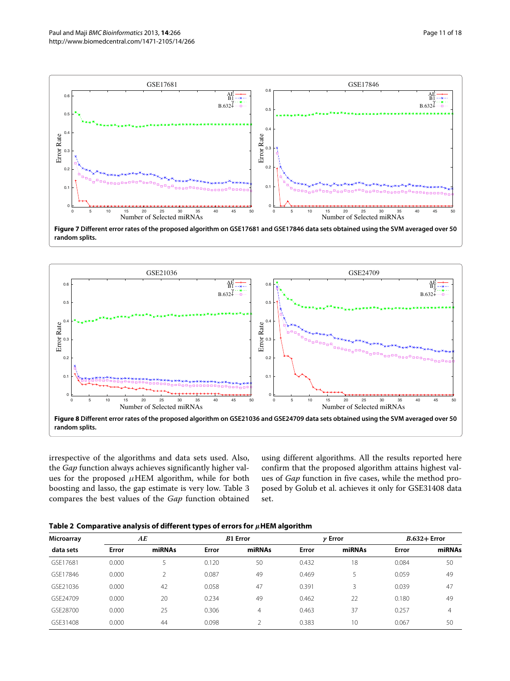

<span id="page-10-0"></span>**Figure 7 Different error rates of the proposed algorithm on GSE17681 and GSE17846 data sets obtained using the SVM averaged over 50 random splits.**



<span id="page-10-1"></span>irrespective of the algorithms and data sets used. Also, the Gap function always achieves significantly higher values for the proposed  $\mu$ HEM algorithm, while for both boosting and lasso, the gap estimate is very low. Table [3](#page-11-0) compares the best values of the Gap function obtained using different algorithms. All the results reported here confirm that the proposed algorithm attains highest values of Gap function in five cases, while the method proposed by Golub et al. achieves it only for GSE31408 data set.

|  |  | Table 2 Comparative analysis of different types of errors for $\mu$ HEM algorithm |
|--|--|-----------------------------------------------------------------------------------|
|--|--|-----------------------------------------------------------------------------------|

<span id="page-10-2"></span>

| Microarray | AE    |        | <b>B1</b> Error |        |       | $\nu$ Error | $B.632 +$ Error |                |
|------------|-------|--------|-----------------|--------|-------|-------------|-----------------|----------------|
| data sets  | Error | miRNAs | Error           | miRNAs | Error | miRNAs      | Error           | miRNAs         |
| GSE17681   | 0.000 |        | 0.120           | 50     | 0.432 | 18          | 0.084           | 50             |
| GSF17846   | 0.000 |        | 0.087           | 49     | 0.469 |             | 0.059           | 49             |
| GSE21036   | 0.000 | 42     | 0.058           | 47     | 0.391 | 3           | 0.039           | 47             |
| GSE24709   | 0.000 | 20     | 0.234           | 49     | 0.462 | 22          | 0.180           | 49             |
| GSE28700   | 0.000 | 25     | 0.306           | 4      | 0.463 | 37          | 0.257           | $\overline{4}$ |
| GSE31408   | 0.000 | 44     | 0.098           | C.     | 0.383 | 10          | 0.067           | 50             |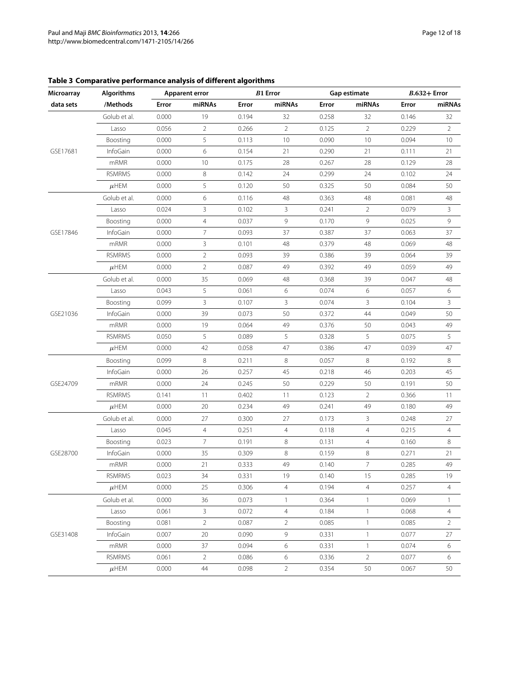# **Table 3 Comparative performance analysis of different algorithms**

<span id="page-11-0"></span>

| Microarray | <b>Algorithms</b> | <b>Apparent error</b> |                |       | <b>B1</b> Error |       | Gap estimate   | $B.632 +$ Error |                |
|------------|-------------------|-----------------------|----------------|-------|-----------------|-------|----------------|-----------------|----------------|
| data sets  | /Methods          | Error                 | miRNAs         | Error | miRNAs          | Error | miRNAs         | Error           | miRNAs         |
|            | Golub et al.      | 0.000                 | 19             | 0.194 | 32              | 0.258 | 32             | 0.146           | 32             |
|            | Lasso             | 0.056                 | $\overline{2}$ | 0.266 | $\overline{2}$  | 0.125 | $\overline{2}$ | 0.229           | 2              |
|            | Boosting          | 0.000                 | 5              | 0.113 | 10              | 0.090 | 10             | 0.094           | 10             |
| GSE17681   | InfoGain          | 0.000                 | 6              | 0.154 | 21              | 0.290 | 21             | 0.111           | 21             |
|            | mRMR              | 0.000                 | 10             | 0.175 | 28              | 0.267 | 28             | 0.129           | 28             |
|            | <b>RSMRMS</b>     | 0.000                 | 8              | 0.142 | 24              | 0.299 | 24             | 0.102           | 24             |
|            | $\mu$ HEM         | 0.000                 | 5              | 0.120 | 50              | 0.325 | 50             | 0.084           | 50             |
|            | Golub et al.      | 0.000                 | 6              | 0.116 | 48              | 0.363 | 48             | 0.081           | 48             |
|            | Lasso             | 0.024                 | 3              | 0.102 | 3               | 0.241 | $\overline{2}$ | 0.079           | 3              |
|            | Boosting          | 0.000                 | $\overline{4}$ | 0.037 | 9               | 0.170 | 9              | 0.025           | 9              |
| GSE17846   | InfoGain          | 0.000                 | $\overline{7}$ | 0.093 | 37              | 0.387 | 37             | 0.063           | 37             |
|            | mRMR              | 0.000                 | 3              | 0.101 | 48              | 0.379 | 48             | 0.069           | 48             |
|            | <b>RSMRMS</b>     | 0.000                 | $\overline{2}$ | 0.093 | 39              | 0.386 | 39             | 0.064           | 39             |
|            | $\mu$ HEM         | 0.000                 | $\overline{2}$ | 0.087 | 49              | 0.392 | 49             | 0.059           | 49             |
|            | Golub et al.      | 0.000                 | 35             | 0.069 | 48              | 0.368 | 39             | 0.047           | 48             |
|            | Lasso             | 0.043                 | 5              | 0.061 | 6               | 0.074 | 6              | 0.057           | 6              |
|            | Boosting          | 0.099                 | 3              | 0.107 | 3               | 0.074 | 3              | 0.104           | 3              |
| GSE21036   | InfoGain          | 0.000                 | 39             | 0.073 | 50              | 0.372 | 44             | 0.049           | 50             |
|            | mRMR              | 0.000                 | 19             | 0.064 | 49              | 0.376 | 50             | 0.043           | 49             |
|            | <b>RSMRMS</b>     | 0.050                 | 5              | 0.089 | 5               | 0.328 | 5              | 0.075           | 5              |
|            | $\mu$ HEM         | 0.000                 | 42             | 0.058 | 47              | 0.386 | 47             | 0.039           | 47             |
|            | Boosting          | 0.099                 | 8              | 0.211 | 8               | 0.057 | 8              | 0.192           | $\,8\,$        |
|            | InfoGain          | 0.000                 | 26             | 0.257 | 45              | 0.218 | 46             | 0.203           | 45             |
| GSE24709   | mRMR              | 0.000                 | 24             | 0.245 | 50              | 0.229 | 50             | 0.191           | 50             |
|            | <b>RSMRMS</b>     | 0.141                 | 11             | 0.402 | 11              | 0.123 | $\overline{2}$ | 0.366           | 11             |
|            | $\mu$ HEM         | 0.000                 | 20             | 0.234 | 49              | 0.241 | 49             | 0.180           | 49             |
|            | Golub et al.      | 0.000                 | 27             | 0.300 | 27              | 0.173 | 3              | 0.248           | 27             |
|            | Lasso             | 0.045                 | $\overline{4}$ | 0.251 | 4               | 0.118 | $\overline{4}$ | 0.215           | $\overline{4}$ |
|            | Boosting          | 0.023                 | $\overline{7}$ | 0.191 | 8               | 0.131 | $\overline{4}$ | 0.160           | 8              |
| GSE28700   | InfoGain          | 0.000                 | 35             | 0.309 | 8               | 0.159 | 8              | 0.271           | 21             |
|            | mRMR              | 0.000                 | 21             | 0.333 | 49              | 0.140 | 7              | 0.285           | 49             |
|            | <b>RSMRMS</b>     | 0.023                 | 34             | 0.331 | 19              | 0.140 | 15             | 0.285           | 19             |
|            | $\mu$ HEM         | 0.000                 | 25             | 0.306 | 4               | 0.194 | $\overline{4}$ | 0.257           | 4              |
|            | Golub et al.      | 0.000                 | 36             | 0.073 | 1               | 0.364 | $\mathbf{1}$   | 0.069           | $\mathbf{1}$   |
|            | Lasso             | 0.061                 | 3              | 0.072 | $\overline{4}$  | 0.184 | $\mathbf{1}$   | 0.068           | $\overline{4}$ |
|            | <b>Boosting</b>   | 0.081                 | $\overline{2}$ | 0.087 | $\overline{2}$  | 0.085 | $\mathbf{1}$   | 0.085           | $\overline{2}$ |
| GSE31408   | InfoGain          | 0.007                 | 20             | 0.090 | 9               | 0.331 | $\mathbf{1}$   | 0.077           | 27             |
|            | mRMR              | 0.000                 | 37             | 0.094 | 6               | 0.331 | 1              | 0.074           | 6              |
|            | <b>RSMRMS</b>     | 0.061                 | $\overline{2}$ | 0.086 | 6               | 0.336 | $\overline{2}$ | 0.077           | 6              |
|            | $\mu$ HEM         | 0.000                 | 44             | 0.098 | $\overline{2}$  | 0.354 | 50             | 0.067           | 50             |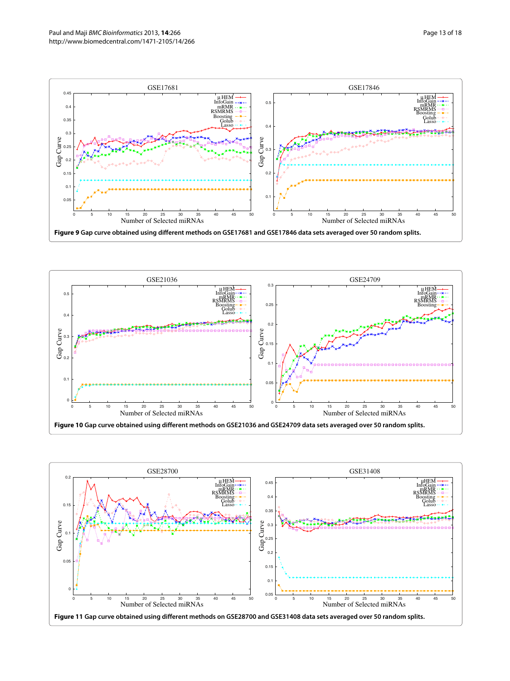

<span id="page-12-0"></span>

<span id="page-12-2"></span><span id="page-12-1"></span>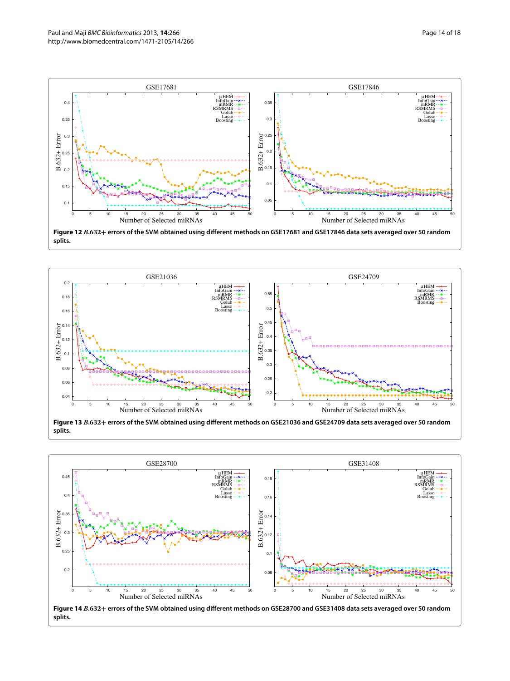

<span id="page-13-0"></span>

<span id="page-13-2"></span><span id="page-13-1"></span>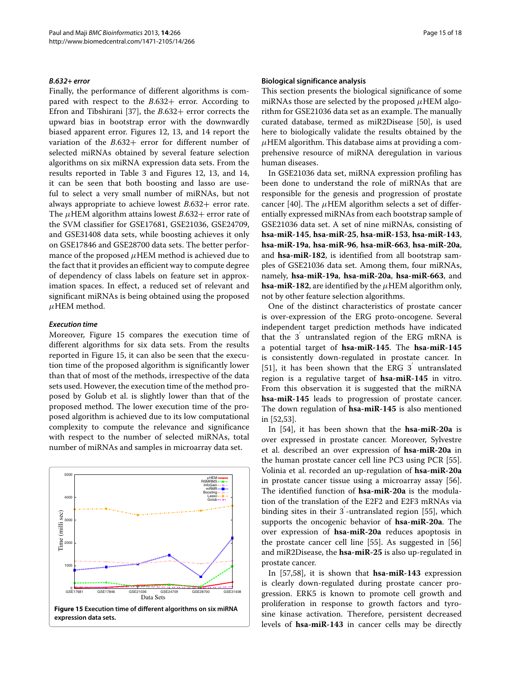#### *B.632+ error*

Finally, the performance of different algorithms is compared with respect to the  $B.632+$  error. According to Efron and Tibshirani [\[37\]](#page-16-8), the  $B.632+$  error corrects the upward bias in bootstrap error with the downwardly biased apparent error. Figures [12,](#page-13-0) [13,](#page-13-1) and [14](#page-13-2) report the variation of the  $B.632+$  error for different number of selected miRNAs obtained by several feature selection algorithms on six miRNA expression data sets. From the results reported in Table [3](#page-11-0) and Figures [12,](#page-13-0) [13,](#page-13-1) and [14,](#page-13-2) it can be seen that both boosting and lasso are useful to select a very small number of miRNAs, but not always appropriate to achieve lowest  $B.632+$  error rate. The  $\mu$ HEM algorithm attains lowest B.632+ error rate of the SVM classifier for GSE17681, GSE21036, GSE24709, and GSE31408 data sets, while boosting achieves it only on GSE17846 and GSE28700 data sets. The better performance of the proposed  $\mu$ HEM method is achieved due to the fact that it provides an efficient way to compute degree of dependency of class labels on feature set in approximation spaces. In effect, a reduced set of relevant and significant miRNAs is being obtained using the proposed  $\mu$ HEM method.

#### *Execution time*

Moreover, Figure [15](#page-14-0) compares the execution time of different algorithms for six data sets. From the results reported in Figure [15,](#page-14-0) it can also be seen that the execution time of the proposed algorithm is significantly lower than that of most of the methods, irrespective of the data sets used. However, the execution time of the method proposed by Golub et al. is slightly lower than that of the proposed method. The lower execution time of the proposed algorithm is achieved due to its low computational complexity to compute the relevance and significance with respect to the number of selected miRNAs, total number of miRNAs and samples in microarray data set.

<span id="page-14-0"></span>

#### **Biological significance analysis**

This section presents the biological significance of some miRNAs those are selected by the proposed  $\mu$ HEM algorithm for GSE21036 data set as an example. The manually curated database, termed as miR2Disease [\[50\]](#page-16-22), is used here to biologically validate the results obtained by the  $\mu$ HEM algorithm. This database aims at providing a comprehensive resource of miRNA deregulation in various human diseases.

In GSE21036 data set, miRNA expression profiling has been done to understand the role of miRNAs that are responsible for the genesis and progression of prostate cancer [\[40\]](#page-16-11). The  $\mu$ HEM algorithm selects a set of differentially expressed miRNAs from each bootstrap sample of GSE21036 data set. A set of nine miRNAs, consisting of **hsa-miR-145**, **hsa-miR-25**, **hsa-miR-153**, **hsa-miR-143**, **hsa-miR-19a**, **hsa-miR-96**, **hsa-miR-663**, **hsa-miR-20a**, and **hsa-miR-182**, is identified from all bootstrap samples of GSE21036 data set. Among them, four miRNAs, namely, **hsa-miR-19a**, **hsa-miR-20a**, **hsa-miR-663**, and **hsa-miR-182**, are identified by the  $\mu$ HEM algorithm only, not by other feature selection algorithms.

One of the distinct characteristics of prostate cancer is over-expression of the ERG proto-oncogene. Several independent target prediction methods have indicated that the 3′ untranslated region of the ERG mRNA is a potential target of **hsa-miR-145**. The **hsa-miR-145** is consistently down-regulated in prostate cancer. In [\[51\]](#page-16-23), it has been shown that the ERG 3<sup>'</sup> untranslated region is a regulative target of **hsa-miR-145** in vitro. From this observation it is suggested that the miRNA **hsa-miR-145** leads to progression of prostate cancer. The down regulation of **hsa-miR-145** is also mentioned in [\[52,](#page-16-24)[53\]](#page-16-25).

In [\[54\]](#page-16-26), it has been shown that the **hsa-miR-20a** is over expressed in prostate cancer. Moreover, Sylvestre et al. described an over expression of **hsa-miR-20a** in the human prostate cancer cell line PC3 using PCR [\[55\]](#page-16-27). Volinia et al. recorded an up-regulation of **hsa-miR-20a** in prostate cancer tissue using a microarray assay [\[56\]](#page-16-28). The identified function of **hsa-miR-20a** is the modulation of the translation of the E2F2 and E2F3 mRNAs via binding sites in their  $3'$ -untranslated region [\[55\]](#page-16-27), which supports the oncogenic behavior of **hsa-miR-20a**. The over expression of **hsa-miR-20a** reduces apoptosis in the prostate cancer cell line [\[55\]](#page-16-27). As suggested in [\[56\]](#page-16-28) and miR2Disease, the **hsa-miR-25** is also up-regulated in prostate cancer.

In [\[57,](#page-16-29)[58\]](#page-17-0), it is shown that **hsa-miR-143** expression is clearly down-regulated during prostate cancer progression. ERK5 is known to promote cell growth and proliferation in response to growth factors and tyrosine kinase activation. Therefore, persistent decreased levels of **hsa-miR-143** in cancer cells may be directly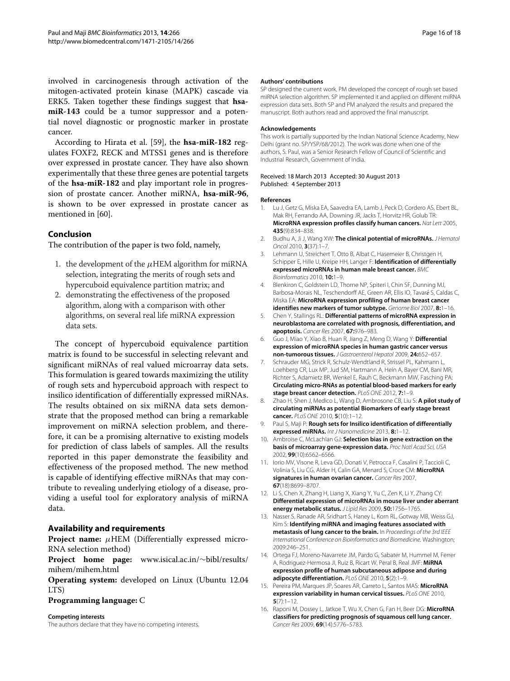involved in carcinogenesis through activation of the mitogen-activated protein kinase (MAPK) cascade via ERK5. Taken together these findings suggest that **hsamiR-143** could be a tumor suppressor and a potential novel diagnostic or prognostic marker in prostate cancer.

According to Hirata et al. [\[59\]](#page-17-1), the **hsa-miR-182** regulates FOXF2, RECK and MTSS1 genes and is therefore over expressed in prostate cancer. They have also shown experimentally that these three genes are potential targets of the **hsa-miR-182** and play important role in progression of prostate cancer. Another miRNA, **hsa-miR-96**, is shown to be over expressed in prostate cancer as mentioned in [\[60\]](#page-17-2).

# **Conclusion**

The contribution of the paper is two fold, namely,

- 1. the development of the  $\mu$ HEM algorithm for miRNA selection, integrating the merits of rough sets and hypercuboid equivalence partition matrix; and
- 2. demonstrating the effectiveness of the proposed algorithm, along with a comparison with other algorithms, on several real life miRNA expression data sets.

The concept of hypercuboid equivalence partition matrix is found to be successful in selecting relevant and significant miRNAs of real valued microarray data sets. This formulation is geared towards maximizing the utility of rough sets and hypercuboid approach with respect to insilico identification of differentially expressed miRNAs. The results obtained on six miRNA data sets demonstrate that the proposed method can bring a remarkable improvement on miRNA selection problem, and therefore, it can be a promising alternative to existing models for prediction of class labels of samples. All the results reported in this paper demonstrate the feasibility and effectiveness of the proposed method. The new method is capable of identifying effective miRNAs that may contribute to revealing underlying etiology of a disease, providing a useful tool for exploratory analysis of miRNA data.

# **Availability and requirements**

**Project name:** μHEM (Differentially expressed micro-RNA selection method)

**Project home page:** [www.isical.ac.in/](www.isical.ac.in/~bibl/results/mihem/mihem.html)∼bibl/results/ [mihem/mihem.html](www.isical.ac.in/~bibl/results/mihem/mihem.html)

**Operating system:** developed on Linux (Ubuntu 12.04 LTS)

# **Programming language:** C

#### **Competing interests**

The authors declare that they have no competing interests.

#### **Authors' contributions**

SP designed the current work. PM developed the concept of rough set based miRNA selection algorithm. SP implemented it and applied on different miRNA expression data sets. Both SP and PM analyzed the results and prepared the manuscript. Both authors read and approved the final manuscript.

#### **Acknowledgements**

This work is partially supported by the Indian National Science Academy, New Delhi (grant no. SP/YSP/68/2012). The work was done when one of the authors, S. Paul, was a Senior Research Fellow of Council of Scientific and Industrial Research, Government of India.

#### Received: 18 March 2013 Accepted: 30 August 2013 Published: 4 September 2013

#### **References**

- <span id="page-15-0"></span>Lu J, Getz G, Miska EA, Saavedra EA, Lamb J, Peck D, Cordero AS, Ebert BL, Mak RH, Ferrando AA, Downing JR, Jacks T, Horvitz HR, Golub TR: **MicroRNA expression profiles classify human cancers.** *Nat Lett* 2005, **435**(9):834–838.
- <span id="page-15-1"></span>2. Budhu A, Ji J, Wang XW: **The clinical potential of microRNAs.** *J Hematol Oncol* 2010, **3**(37):1–7.
- <span id="page-15-2"></span>3. Lehmann U, Streichert T, Otto B, Albat C, Hasemeier B, Christgen H, Schipper E, Hille U, Kreipe HH, Langer F: **Identification of differentially expressed microRNAs in human male breast cancer.** *BMC Bioinformatics* 2010, **10:**1–9.
- <span id="page-15-3"></span>4. Blenkiron C, Goldstein LD, Thorne NP, Spiteri I, Chin SF, Dunning MJ, Barbosa-Morais NL, Teschendorff AE, Green AR, Ellis IO, Tavaré S, Caldas C, Miska EA: **MicroRNA expression profiling of human breast cancer identifies new markers of tumor subtype.** *Genome Biol* 2007, **8:**1–16.
- 5. Chen Y, Stallings RL: **Differential patterns of microRNA expression in neuroblastoma are correlated with prognosis, differentiation, and apoptosis.** *Cancer Res* 2007, **67:**976–983.
- 6. Guo J, Miao Y, Xiao B, Huan R, Jiang Z, Meng D, Wang Y: **Differential expression of microRNA species in human gastric cancer versus non-tumorous tissues.** *J Gastroenterol Hepatol* 2009, **24:**652–657.
- 7. Schrauder MG, Strick R, Schulz-Wendtland R, Strissel PL, Kahmann L, Loehberg CR, Lux MP, Jud SM, Hartmann A, Hein A, Bayer CM, Bani MR, Richter S, Adamietz BR, Wenkel E, Rauh C, Beckmann MW, Fasching PA: **Circulating micro-RNAs as potential blood-based markers for early stage breast cancer detection.** *PLoS ONE* 2012, **7:**1–9.
- <span id="page-15-8"></span>8. Zhao H, Shen J, Medico L, Wang D, Ambrosone CB, Liu S: **A pilot study of circulating miRNAs as potential Biomarkers of early stage breast cancer.** *PLoS ONE* 2010, **5**(10):1–12.
- <span id="page-15-4"></span>9. Paul S, Maji P: **Rough sets for Insilico identification of differentially expressed miRNAs.** *Int J Nanomedicine* 2013, **8:**1–12.
- <span id="page-15-5"></span>10. Ambroise C, McLachlan GJ: **Selection bias in gene extraction on the basis of microarray gene-expression data.** *Proc Natl Acad Sci, USA* 2002, **99**(10):6562–6566.
- <span id="page-15-6"></span>11. Iorio MV, Visone R, Leva GD, Donati V, Petrocca F, Casalini P, Taccioli C, Volinia S, Liu CG, Alder H, Calin GA, Menard S, Croce CM: **MicroRNA signatures in human ovarian cancer.** *Cancer Res* 2007, **67**(18):8699–8707.
- 12. Li S, Chen X, Zhang H, Liang X, Xiang Y, Yu C, Zen K, Li Y, Zhang CY: **Differential expression of microRNAs in mouse liver under aberrant energy metabolic status.** *J Lipid Res* 2009, **50:**1756–1765.
- 13. Nasser S, Ranade AR, Sridhart S, Haney L, Korn RL, Gotway MB, Weiss GJ, Kim S: **Identifying miRNA and imaging features associated with metastasis of lung cancer to the brain.** In *Proceedings of the 3rd IEEE International Conference on Bioinformatics and Biomedicine*. Washington; 2009:246–251.
- 14. Ortega FJ, Moreno-Navarrete JM, Pardo G, Sabater M, Hummel M, Ferrer A, Rodriguez-Hermosa JI, Ruiz B, Ricart W, Peral B, Real JMF: **MiRNA expression profile of human subcutaneous adipose and during adipocyte differentiation.** *PLoS ONE* 2010, **5**(2):1–9.
- 15. Pereira PM, Marques JP, Soares AR, Carreto L, Santos MAS: **MicroRNA expression variability in human cervical tissues.** *PLoS ONE* 2010, **5**(7):1–12.
- <span id="page-15-7"></span>16. Raponi M, Dossey L, Jatkoe T, Wu X, Chen G, Fan H, Beer DG: **MicroRNA classifiers for predicting prognosis of squamous cell lung cancer.** *Cancer Res* 2009, **69**(14):5776–5783.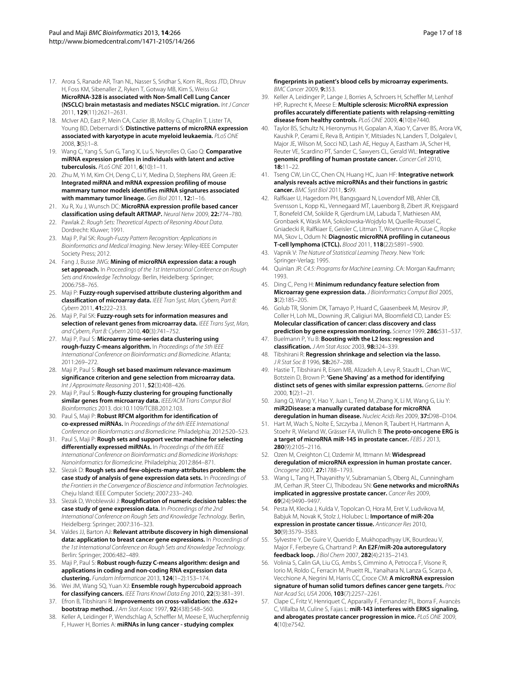- <span id="page-16-0"></span>17. Arora S, Ranade AR, Tran NL, Nasser S, Sridhar S, Korn RL, Ross JTD, Dhruv H, Foss KM, Sibenaller Z, Ryken T, Gotway MB, Kim S, Weiss GJ: **MicroRNA-328 is associated with Non-Small Cell Lung Cancer (NSCLC) brain metastasis and mediates NSCLC migration.** *Int J Cancer* 2011, **129**(11):2621–2631.
- 18. McIver AD, East P, Mein CA, Cazier JB, Molloy G, Chaplin T, Lister TA, Young BD, Debernardi S: **Distinctive patterns of microRNA expression associated with karyotype in acute myeloid leukaemia.** *PLoS ONE* 2008, **3**(5):1–8.
- 19. Wang C, Yang S, Sun G, Tang X, Lu S, Neyrolles O, Gao Q: **Comparative miRNA expression profiles in individuals with latent and active tuberculosis.** *PLoS ONE* 2011, **6**(10):1–11.
- <span id="page-16-1"></span>20. Zhu M, Yi M, Kim CH, Deng C, Li Y, Medina D, Stephens RM, Green JE: **Integrated miRNA and mRNA expression profiling of mouse mammary tumor models identifies miRNA signatures associated with mammary tumor lineage.** *Gen Biol* 2011, **12:**1–16.
- <span id="page-16-2"></span>21. Xu R, Xu J, Wunsch DC: **MicroRNA expression profile based cancer classification using default ARTMAP.** *Neural Netw* 2009, **22:**774–780.
- <span id="page-16-3"></span>22. Pawlak Z: *Rough Sets: Theoretical Aspects of Resoning About Data*. Dordrecht: Kluwer; 1991.
- <span id="page-16-4"></span>23. Maji P, Pal SK: *Rough-Fuzzy Pattern Recognition: Applications in Bioinformatics and Medical Imaging*. New Jersey: Wiley-IEEE Computer Society Press; 2012.
- <span id="page-16-5"></span>24. Fang J, Busse JWG: **Mining of microRNA expression data: a rough set approach.** In *Proceedings of the 1st International Conference on Rough Sets and Knowledge Technology*. Berlin, Heidelberg: Springer; 2006:758–765.
- 25. Maji P: **Fuzzy-rough supervised attribute clustering algorithm and classification of microarray data.** *IEEE Tran Syst, Man, Cybern, Part B: Cybern* 2011, **41:**222–233.
- 26. Maji P, Pal SK: **Fuzzy-rough sets for information measures and selection of relevant genes from microarray data.** *IEEE Trans Syst, Man, and Cybern, Part B: Cybern* 2010, **40**(3):741–752.
- 27. Maji P, Paul S: **Microarray time-series data clustering using rough-fuzzy C-means algorithm.** In *Proceedings of the 5th IEEE International Conference on Bioinformatics and Biomedicine*. Atlanta; 2011:269–272.
- <span id="page-16-18"></span>28. Maji P, Paul S: **Rough set based maximum relevance-maximum significance criterion and gene selection from microarray data.** *Int J Approximate Reasoning* 2011, **52**(3):408–426.
- 29. Maji P, Paul S: **Rough-fuzzy clustering for grouping functionally similar genes from microarray data.** *IEEE/ACM Trans Comput Biol Bioinformatics* 2013. doi:10.1109/TCBB.2012.103.
- 30. Paul S, Maji P: **Robust RFCM algorithm for identification of co-expressed miRNAs.** In *Proceedings of the 6th IEEE International Conference on Bioinformatics and Biomedicine*. Philadelphia; 2012:520–523.
- 31. Paul S, Maji P: **Rough sets and support vector machine for selecting differentially expressed miRNAs.** In *Proceedings of the 6th IEEE International Conference on Bioinformatics and Biomedicine Workshops: Nanoinformatics for Biomedicine*. Philadelphia; 2012:864–871.
- 32. Slezak D: **Rough sets and few-objects-many-attributes problem: the case study of analysis of gene expression data sets.** In *Proceedings of the Frontiers in the Convergence of Bioscience and Information Technologies*. Cheju Island: IEEE Computer Society; 2007:233–240.
- 33. Slezak D, Wroblewski J: **Roughfication of numeric decision tables: the case study of gene expression data.** In *Proceedings of the 2nd International Conference on Rough Sets and Knowledge Technology*. Berlin, Heidelberg: Springer; 2007:316–323.
- 34. Valdes JJ, Barton AJ: **Relevant attribute discovery in high dimensional data: application to breast cancer gene expressions.** In *Proceedings of the 1st International Conference on Rough Sets and Knowledge Technology*. Berlin: Springer; 2006:482–489.
- <span id="page-16-6"></span>35. Maji P, Paul S: **Robust rough-fuzzy C-means algorithm: design and applications in coding and non-coding RNA expression data clustering.** *Fundam Informaticae* 2013, **124**(1–2):153–174.
- <span id="page-16-7"></span>36. Wei JM, Wang SQ, Yuan XJ: **Ensemble rough hypercuboid approach for classifying cancers.** *IEEE Trans Knowl Data Eng* 2010, **22**(3):381–391.
- <span id="page-16-8"></span>37. Efron B, Tibshirani R: **Improvements on cross-validation: the .632+ bootstrap method.** *J Am Stat Assoc* 1997, **92**(438):548–560.
- <span id="page-16-9"></span>38. Keller A, Leidinger P, Wendschlag A, Scheffler M, Meese E, Wucherpfennig F, Huwer H, Borries A: **miRNAs in lung cancer - studying complex**
- **fingerprints in patient's blood cells by microarray experiments.** *BMC Cancer* 2009, **9:**353. 39. Keller A, Leidinger P, Lange J, Borries A, Schroers H, Scheffler M, Lenhof
- <span id="page-16-10"></span>HP, Ruprecht K, Meese E: **Multiple sclerosis: MicroRNA expression profiles accurately differentiate patients with relapsing-remitting disease from healthy controls.** *PLoS ONE* 2009, **4**(10):e7440.
- <span id="page-16-11"></span>40. Taylor BS, Schultz N, Hieronymus H, Gopalan A, Xiao Y, Carver BS, Arora VK, Kaushik P, Cerami E, Reva B, Antipin Y, Mitsiades N, Landers T, Dolgalev I, Major JE, Wilson M, Socci ND, Lash AE, Heguy A, Eastham JA, Scher HI, Reuter VE, Scardino PT, Sander C, Sawyers CL, Gerald WL: **Integrative genomic profiling of human prostate cancer.** *Cancer Cell* 2010, **18:**11–22.
- <span id="page-16-12"></span>41. Tseng CW, Lin CC, Chen CN, Huang HC, Juan HF: **Integrative network analysis reveals active microRNAs and their functions in gastric cancer.** *BMC Syst Biol* 2011, **5:**99.
- <span id="page-16-13"></span>42. Ralfkiaer U, Hagedorn PH, Bangsgaard N, Lovendorf MB, Ahler CB, Svensson L, Kopp KL, Vennegaard MT, Lauenborg B, Zibert JR, Krejsgaard T, Bonefeld CM, Sokilde R, Gjerdrum LM, Labuda T, Mathiesen AM, Gronbaek K, Wasik MA, Sokolowska-Wojdylo M, Queille-Roussel C, Gniadecki R, Ralfkiaer E, Geisler C, Litman T, Woetmann A, Glue C, Ropke MA, Skov L, Odum N: **Diagnostic microRNA profiling in cutaneous T-cell lymphoma (CTCL).** *Blood* 2011, **118**(22):5891–5900.
- <span id="page-16-14"></span>43. Vapnik V: *The Nature of Statistical Learning Theory*. New York: Springer-Verlag; 1995.
- <span id="page-16-15"></span>44. Quinlan JR: *C4.5: Programs for Machine Learning*. CA: Morgan Kaufmann; 1993.
- <span id="page-16-16"></span>45. Ding C, Peng H: **Minimum redundancy feature selection from Microarray gene expression data.** *J Bioinformatics Comput Biol* 2005, **3**(2):185–205.
- <span id="page-16-17"></span>46. Golub TR, Slonim DK, Tamayo P, Huard C, Gaasenbeek M, Mesirov JP, Coller H, Loh ML, Downing JR, Caligiuri MA, Bloomfield CD, Lander ES: **Molecular classification of cancer: class discovery and class prediction by gene expression monitoring.** *Science* 1999, **286:**531–537.
- <span id="page-16-19"></span>47. Buelmann P, Yu B: **Boosting with the L2 loss: regression and classification.** *J Am Stat Assoc* 2003, **98:**324–339.
- <span id="page-16-20"></span>48. Tibshirani R: **Regression shrinkage and selection via the lasso.** *J R Stat Soc B* 1996, **58:**267–288.
- <span id="page-16-21"></span>49. Hastie T, Tibshirani R, Eisen MB, Alizadeh A, Levy R, Staudt L, Chan WC, Botstein D, Brown P: **'Gene Shaving' as a method for identifying distinct sets of genes with similar expression patterns.** *Genome Biol* 2000, **1**(2):1–21.
- <span id="page-16-22"></span>50. Jiang Q, Wang Y, Hao Y, Juan L, Teng M, Zhang X, Li M, Wang G, Liu Y: **miR2Disease: a manually curated database for microRNA deregulation in human disease.** *Nucleic Acids Res* 2009, **37:**D98–D104.
- <span id="page-16-23"></span>51. Hart M, Wach S, Nolte E, Szczyrba J, Menon R, Taubert H, Hartmann A, Stoehr R, Wieland W, Grässer FA, Wullich B: **The proto-oncogene ERG is a target of microRNA miR-145 in prostate cancer.** *FEBS J* 2013, **280**(9):2105–2116.
- <span id="page-16-24"></span>52. Ozen M, Creighton CJ, Ozdemir M, Ittmann M: **Widespread deregulation of microRNA expression in human prostate cancer.** *Oncogene* 2007, **27:**1788–1793.
- <span id="page-16-25"></span>53. Wang L, Tang H, Thayanithy V, Subramanian S, Oberg AL, Cunningham JM, Cerhan JR, Steer CJ, Thibodeau SN: **Gene networks and microRNAs implicated in aggressive prostate cancer.** *Cancer Res* 2009, **69**(24):9490–9497.
- <span id="page-16-26"></span>54. Pesta M, Klecka J, Kulda V, Topolcan O, Hora M, Eret V, Ludvikova M, Babjuk M, Novak K, Stolz J, Holubec L: **Importance of miR-20a expression in prostate cancer tissue.** *Anticancer Res* 2010, **30**(9):3579–3583.
- <span id="page-16-27"></span>55. Sylvestre Y, De Guire V, Querido E, Mukhopadhyay UK, Bourdeau V, Major F, Ferbeyre G, Chartrand P: **An E2F/miR-20a autoregulatory feedback loop.** *J Biol Chem* 2007, **282**(4):2135–2143.
- <span id="page-16-28"></span>56. Volinia S, Calin GA, Liu CG, Ambs S, Cimmino A, Petrocca F, Visone R, Iorio M, Roldo C, Ferracin M, Prueitt RL, Yanaihara N, Lanza G, Scarpa A, Vecchione A, Negrini M, Harris CC, Croce CM: **A microRNA expression signature of human solid tumors defines cancer gene targets.** *Proc Nat Acad Sci, USA* 2006, **103**(7):2257–2261.
- <span id="page-16-29"></span>57. Clape C, Fritz V, Henriquet C, Apparailly F, Fernandez PL, Iborra F, Avancès C, Villalba M, Culine S, Fajas L: **miR-143 interferes with ERK5 signaling, and abrogates prostate cancer progression in mice.** *PLoS ONE* 2009, **4**(10):e7542.